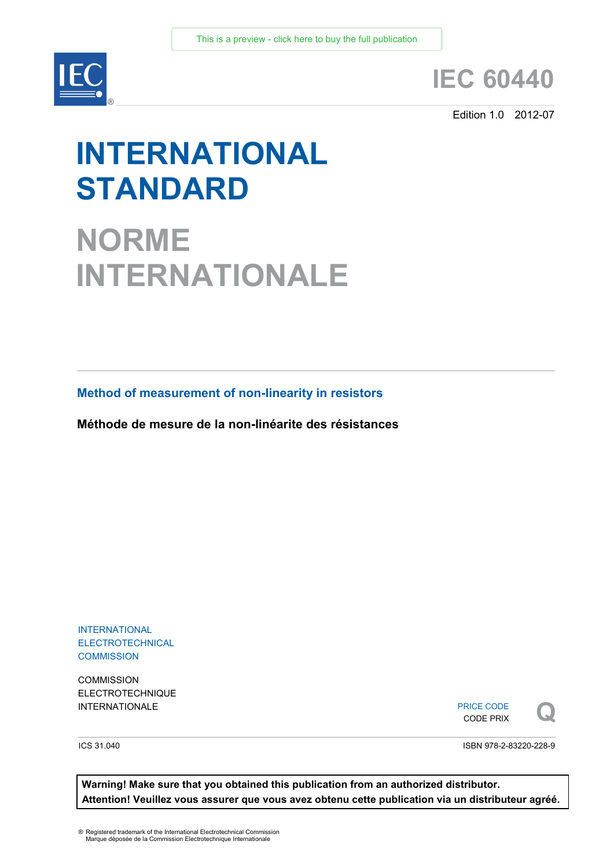

## **IEC 60440**

Edition 1.0 2012-07

# **INTERNATIONAL STANDARD**

**NORME INTERNATIONALE**

**Method of measurement of non-linearity in resistors** 

**Méthode de mesure de la non-linéarite des résistances** 

INTERNATIONAL **ELECTROTECHNICAL COMMISSION** 

**COMMISSION** ELECTROTECHNIQUE

INTERNATIONALE PRICE CODE PRIX PRICE CODE CODE PRIX



ICS 31.040

ISBN 978-2-83220-228-9

**Warning! Make sure that you obtained this publication from an authorized distributor. Attention! Veuillez vous assurer que vous avez obtenu cette publication via un distributeur agréé.**

® Registered trademark of the International Electrotechnical Commission Marque déposée de la Commission Electrotechnique Internationale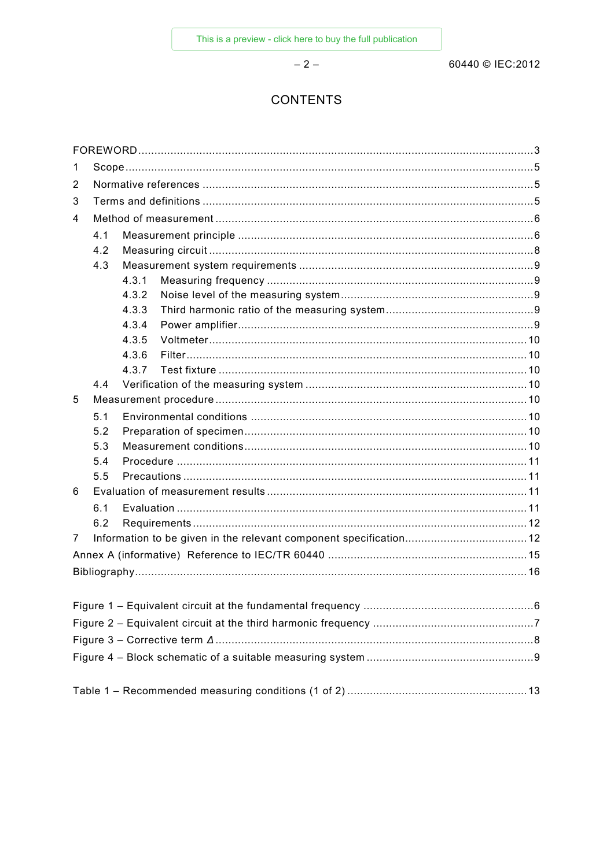$-2-$ 

60440 © IEC:2012

## **CONTENTS**

| 1 |     |       |  |  |  |  |  |  |
|---|-----|-------|--|--|--|--|--|--|
| 2 |     |       |  |  |  |  |  |  |
| 3 |     |       |  |  |  |  |  |  |
| 4 |     |       |  |  |  |  |  |  |
|   | 4.1 |       |  |  |  |  |  |  |
|   | 4.2 |       |  |  |  |  |  |  |
|   | 4.3 |       |  |  |  |  |  |  |
|   |     | 4.3.1 |  |  |  |  |  |  |
|   |     | 4.3.2 |  |  |  |  |  |  |
|   |     | 4.3.3 |  |  |  |  |  |  |
|   |     | 4.3.4 |  |  |  |  |  |  |
|   |     | 4.3.5 |  |  |  |  |  |  |
|   |     | 4.3.6 |  |  |  |  |  |  |
|   |     | 4.3.7 |  |  |  |  |  |  |
|   | 4.4 |       |  |  |  |  |  |  |
| 5 |     |       |  |  |  |  |  |  |
|   | 5.1 |       |  |  |  |  |  |  |
|   | 5.2 |       |  |  |  |  |  |  |
|   | 5.3 |       |  |  |  |  |  |  |
|   | 5.4 |       |  |  |  |  |  |  |
|   | 5.5 |       |  |  |  |  |  |  |
| 6 |     |       |  |  |  |  |  |  |
|   | 6.1 |       |  |  |  |  |  |  |
|   | 6.2 |       |  |  |  |  |  |  |
| 7 |     |       |  |  |  |  |  |  |
|   |     |       |  |  |  |  |  |  |
|   |     |       |  |  |  |  |  |  |
|   |     |       |  |  |  |  |  |  |
|   |     |       |  |  |  |  |  |  |
|   |     |       |  |  |  |  |  |  |
|   |     |       |  |  |  |  |  |  |
|   |     |       |  |  |  |  |  |  |
|   |     |       |  |  |  |  |  |  |
|   |     |       |  |  |  |  |  |  |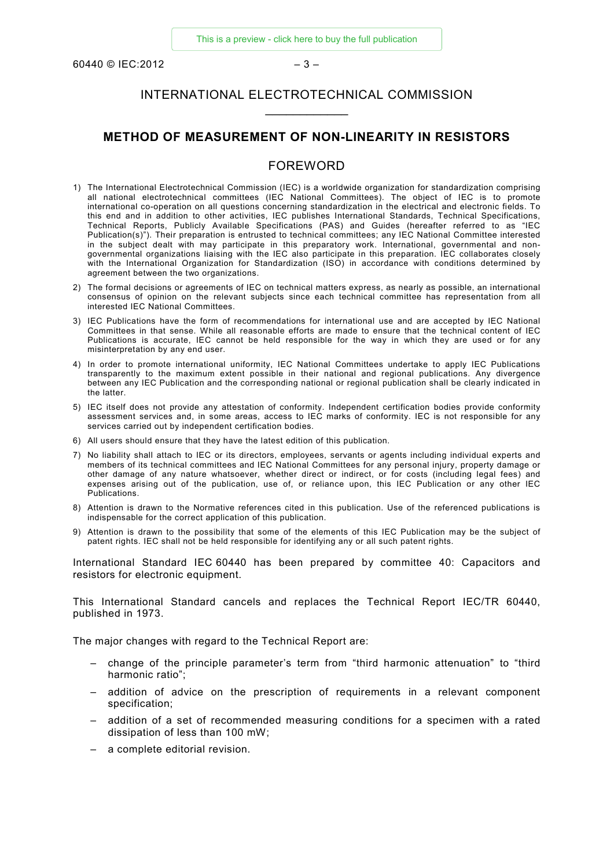$60440 \odot$  IEC:2012 – 3 –

#### INTERNATIONAL ELECTROTECHNICAL COMMISSION  $\overline{\phantom{a}}$

#### **METHOD OF MEASUREMENT OF NON-LINEARITY IN RESISTORS**

#### FOREWORD

- 1) The International Electrotechnical Commission (IEC) is a worldwide organization for standardization comprising all national electrotechnical committees (IEC National Committees). The object of IEC is to promote international co-operation on all questions concerning standardization in the electrical and electronic fields. To this end and in addition to other activities, IEC publishes International Standards, Technical Specifications, Technical Reports, Publicly Available Specifications (PAS) and Guides (hereafter referred to as "IEC Publication(s)"). Their preparation is entrusted to technical committees; any IEC National Committee interested in the subject dealt with may participate in this preparatory work. International, governmental and nongovernmental organizations liaising with the IEC also participate in this preparation. IEC collaborates closely with the International Organization for Standardization (ISO) in accordance with conditions determined by agreement between the two organizations.
- 2) The formal decisions or agreements of IEC on technical matters express, as nearly as possible, an international consensus of opinion on the relevant subjects since each technical committee has representation from all interested IEC National Committees.
- 3) IEC Publications have the form of recommendations for international use and are accepted by IEC National Committees in that sense. While all reasonable efforts are made to ensure that the technical content of IEC Publications is accurate, IEC cannot be held responsible for the way in which they are used or for any misinterpretation by any end user.
- 4) In order to promote international uniformity, IEC National Committees undertake to apply IEC Publications transparently to the maximum extent possible in their national and regional publications. Any divergence between any IEC Publication and the corresponding national or regional publication shall be clearly indicated in the latter.
- 5) IEC itself does not provide any attestation of conformity. Independent certification bodies provide conformity assessment services and, in some areas, access to IEC marks of conformity. IEC is not responsible for any services carried out by independent certification bodies.
- 6) All users should ensure that they have the latest edition of this publication.
- 7) No liability shall attach to IEC or its directors, employees, servants or agents including individual experts and members of its technical committees and IEC National Committees for any personal injury, property damage or other damage of any nature whatsoever, whether direct or indirect, or for costs (including legal fees) and expenses arising out of the publication, use of, or reliance upon, this IEC Publication or any other IEC Publications.
- 8) Attention is drawn to the Normative references cited in this publication. Use of the referenced publications is indispensable for the correct application of this publication.
- 9) Attention is drawn to the possibility that some of the elements of this IEC Publication may be the subject of patent rights. IEC shall not be held responsible for identifying any or all such patent rights.

International Standard IEC 60440 has been prepared by committee 40: Capacitors and resistors for electronic equipment.

This International Standard cancels and replaces the Technical Report IEC/TR 60440, published in 1973.

The major changes with regard to the Technical Report are:

- change of the principle parameter's term from "third harmonic attenuation" to "third harmonic ratio";
- addition of advice on the prescription of requirements in a relevant component specification;
- addition of a set of recommended measuring conditions for a specimen with a rated dissipation of less than 100 mW;
- a complete editorial revision.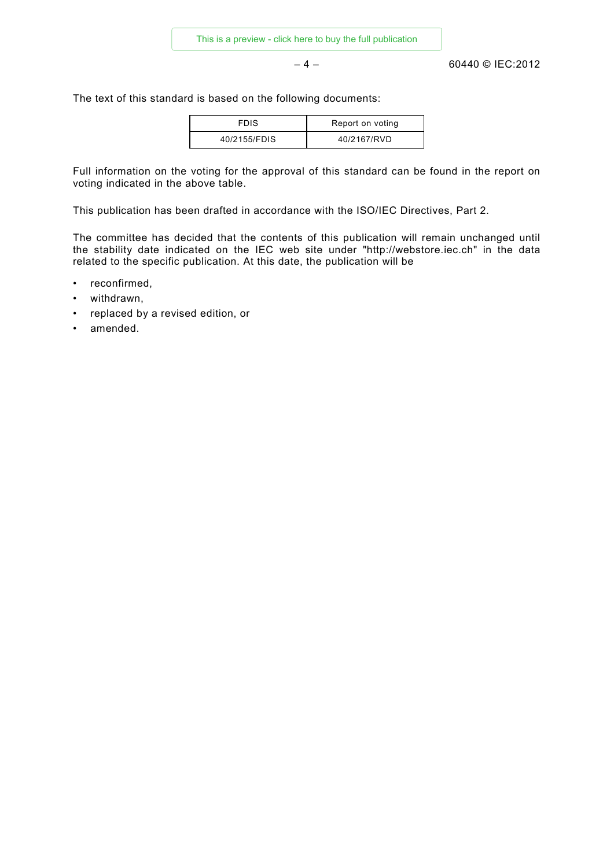– 4 – 60440 © IEC:2012

The text of this standard is based on the following documents:

| <b>FDIS</b>  | Report on voting |
|--------------|------------------|
| 40/2155/FDIS | 40/2167/RVD      |

Full information on the voting for the approval of this standard can be found in the report on voting indicated in the above table.

This publication has been drafted in accordance with the ISO/IEC Directives, Part 2.

The committee has decided that the contents of this publication will remain unchanged until the stability date indicated on the IEC web site under "http://webstore.iec.ch" in the data related to the specific publication. At this date, the publication will be

- reconfirmed,
- withdrawn,
- replaced by a revised edition, or
- amended.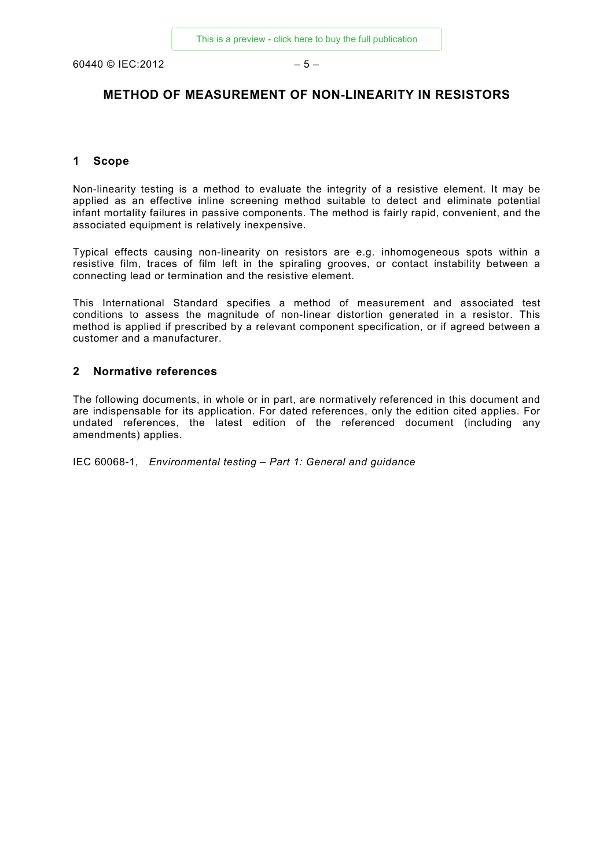$60440 \odot$  IEC:2012 – 5 –

#### **METHOD OF MEASUREMENT OF NON-LINEARITY IN RESISTORS**

#### **1 Scope**

Non-linearity testing is a method to evaluate the integrity of a resistive element. It may be applied as an effective inline screening method suitable to detect and eliminate potential infant mortality failures in passive components. The method is fairly rapid, convenient, and the associated equipment is relatively inexpensive.

Typical effects causing non-linearity on resistors are e.g. inhomogeneous spots within a resistive film, traces of film left in the spiraling grooves, or contact instability between a connecting lead or termination and the resistive element.

This International Standard specifies a method of measurement and associated test conditions to assess the magnitude of non-linear distortion generated in a resistor. This method is applied if prescribed by a relevant component specification, or if agreed between a customer and a manufacturer.

#### **2 Normative references**

The following documents, in whole or in part, are normatively referenced in this document and are indispensable for its application. For dated references, only the edition cited applies. For undated references, the latest edition of the referenced document (including any amendments) applies.

IEC 60068-1, *Environmental testing – Part 1: General and guidance*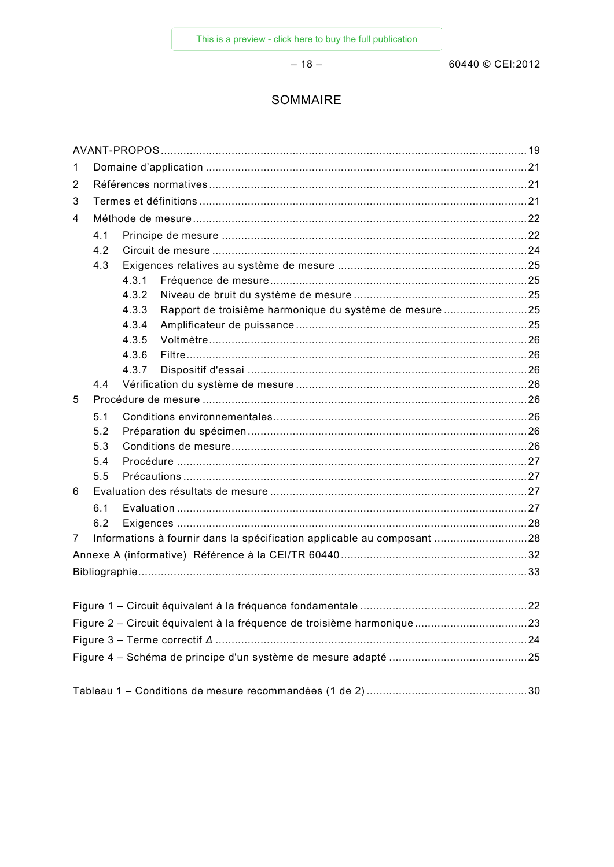$-18-$ 

60440 © CEI:2012

## **SOMMAIRE**

| 1              |     |       |                                                                         |  |  |  |  |
|----------------|-----|-------|-------------------------------------------------------------------------|--|--|--|--|
| 2              |     |       |                                                                         |  |  |  |  |
| 3              |     |       |                                                                         |  |  |  |  |
| 4              |     |       |                                                                         |  |  |  |  |
|                | 4.1 |       |                                                                         |  |  |  |  |
|                | 4.2 |       |                                                                         |  |  |  |  |
|                | 4.3 |       |                                                                         |  |  |  |  |
|                |     | 4.3.1 |                                                                         |  |  |  |  |
|                |     | 4.3.2 |                                                                         |  |  |  |  |
|                |     | 4.3.3 | Rapport de troisième harmonique du système de mesure 25                 |  |  |  |  |
|                |     | 4.3.4 |                                                                         |  |  |  |  |
|                |     | 4.3.5 |                                                                         |  |  |  |  |
|                |     | 4.3.6 |                                                                         |  |  |  |  |
|                |     | 4.3.7 |                                                                         |  |  |  |  |
|                | 4.4 |       |                                                                         |  |  |  |  |
| 5              |     |       |                                                                         |  |  |  |  |
|                | 5.1 |       |                                                                         |  |  |  |  |
|                | 5.2 |       |                                                                         |  |  |  |  |
|                | 5.3 |       |                                                                         |  |  |  |  |
|                | 5.4 |       |                                                                         |  |  |  |  |
|                | 5.5 |       |                                                                         |  |  |  |  |
| 6              |     |       |                                                                         |  |  |  |  |
|                | 6.1 |       |                                                                         |  |  |  |  |
|                | 6.2 |       |                                                                         |  |  |  |  |
| $\overline{7}$ |     |       | Informations à fournir dans la spécification applicable au composant 28 |  |  |  |  |
|                |     |       |                                                                         |  |  |  |  |
|                |     |       |                                                                         |  |  |  |  |
|                |     |       |                                                                         |  |  |  |  |
|                |     |       |                                                                         |  |  |  |  |
|                |     |       |                                                                         |  |  |  |  |
|                |     |       |                                                                         |  |  |  |  |
|                |     |       |                                                                         |  |  |  |  |
|                |     |       |                                                                         |  |  |  |  |
|                |     |       |                                                                         |  |  |  |  |
|                |     |       |                                                                         |  |  |  |  |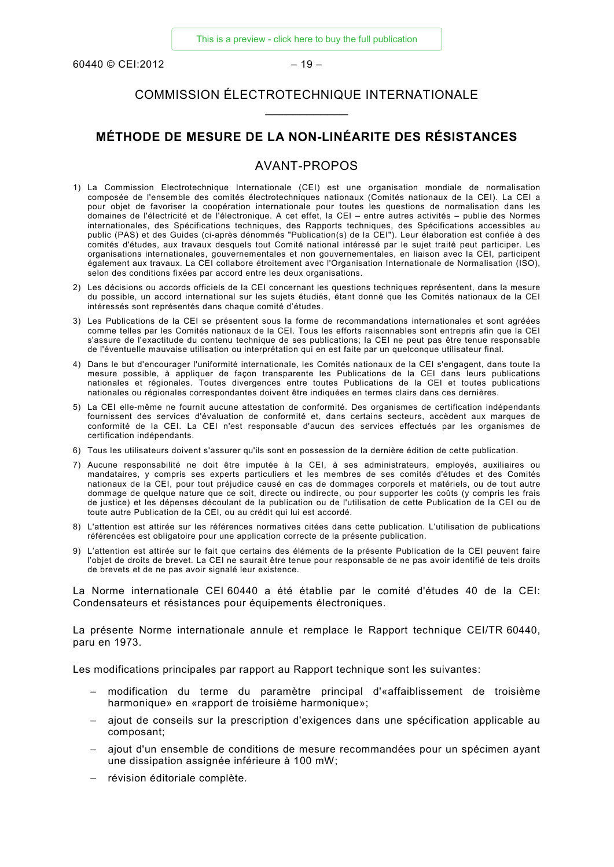$60440 \odot \text{CE}$ 1:2012 – 19

#### COMMISSION ÉLECTROTECHNIQUE INTERNATIONALE  $\overline{\phantom{a}}$

#### **MÉTHODE DE MESURE DE LA NON-LINÉARITE DES RÉSISTANCES**

#### AVANT-PROPOS

- 1) La Commission Electrotechnique Internationale (CEI) est une organisation mondiale de normalisation composée de l'ensemble des comités électrotechniques nationaux (Comités nationaux de la CEI). La CEI a pour objet de favoriser la coopération internationale pour toutes les questions de normalisation dans les domaines de l'électricité et de l'électronique. A cet effet, la CEI – entre autres activités – publie des Normes internationales, des Spécifications techniques, des Rapports techniques, des Spécifications accessibles au public (PAS) et des Guides (ci-après dénommés "Publication(s) de la CEI"). Leur élaboration est confiée à des comités d'études, aux travaux desquels tout Comité national intéressé par le sujet traité peut participer. Les organisations internationales, gouvernementales et non gouvernementales, en liaison avec la CEI, participent également aux travaux. La CEI collabore étroitement avec l'Organisation Internationale de Normalisation (ISO), selon des conditions fixées par accord entre les deux organisations.
- 2) Les décisions ou accords officiels de la CEI concernant les questions techniques représentent, dans la mesure du possible, un accord international sur les sujets étudiés, étant donné que les Comités nationaux de la CEI intéressés sont représentés dans chaque comité d'études.
- 3) Les Publications de la CEI se présentent sous la forme de recommandations internationales et sont agréées comme telles par les Comités nationaux de la CEI. Tous les efforts raisonnables sont entrepris afin que la CEI s'assure de l'exactitude du contenu technique de ses publications; la CEI ne peut pas être tenue responsable de l'éventuelle mauvaise utilisation ou interprétation qui en est faite par un quelconque utilisateur final.
- 4) Dans le but d'encourager l'uniformité internationale, les Comités nationaux de la CEI s'engagent, dans toute la mesure possible, à appliquer de façon transparente les Publications de la CEI dans leurs publications nationales et régionales. Toutes divergences entre toutes Publications de la CEI et toutes publications nationales ou régionales correspondantes doivent être indiquées en termes clairs dans ces dernières.
- 5) La CEI elle-même ne fournit aucune attestation de conformité. Des organismes de certification indépendants fournissent des services d'évaluation de conformité et, dans certains secteurs, accèdent aux marques de conformité de la CEI. La CEI n'est responsable d'aucun des services effectués par les organismes de certification indépendants.
- 6) Tous les utilisateurs doivent s'assurer qu'ils sont en possession de la dernière édition de cette publication.
- 7) Aucune responsabilité ne doit être imputée à la CEI, à ses administrateurs, employés, auxiliaires ou mandataires, y compris ses experts particuliers et les membres de ses comités d'études et des Comités nationaux de la CEI, pour tout préjudice causé en cas de dommages corporels et matériels, ou de tout autre dommage de quelque nature que ce soit, directe ou indirecte, ou pour supporter les coûts (y compris les frais de justice) et les dépenses découlant de la publication ou de l'utilisation de cette Publication de la CEI ou de toute autre Publication de la CEI, ou au crédit qui lui est accordé.
- 8) L'attention est attirée sur les références normatives citées dans cette publication. L'utilisation de publications référencées est obligatoire pour une application correcte de la présente publication.
- 9) L'attention est attirée sur le fait que certains des éléments de la présente Publication de la CEI peuvent faire l'objet de droits de brevet. La CEI ne saurait être tenue pour responsable de ne pas avoir identifié de tels droits de brevets et de ne pas avoir signalé leur existence.

La Norme internationale CEI 60440 a été établie par le comité d'études 40 de la CEI: Condensateurs et résistances pour équipements électroniques.

La présente Norme internationale annule et remplace le Rapport technique CEI/TR 60440, paru en 1973.

Les modifications principales par rapport au Rapport technique sont les suivantes:

- modification du terme du paramètre principal d'«affaiblissement de troisième harmonique» en «rapport de troisième harmonique»;
- ajout de conseils sur la prescription d'exigences dans une spécification applicable au composant;
- ajout d'un ensemble de conditions de mesure recommandées pour un spécimen ayant une dissipation assignée inférieure à 100 mW;
- révision éditoriale complète.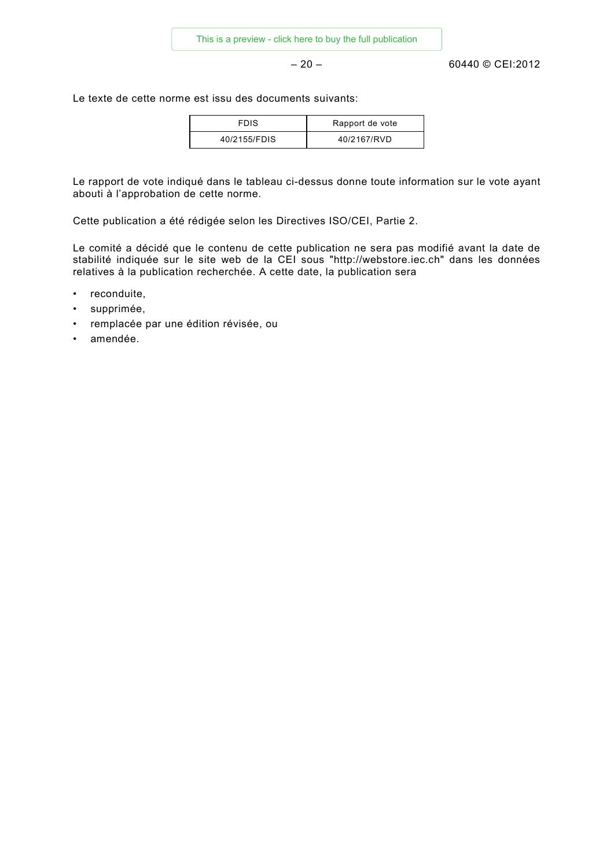– 20 – 60440 © CEI:2012

Le texte de cette norme est issu des documents suivants:

| <b>FDIS</b>  | Rapport de vote |
|--------------|-----------------|
| 40/2155/FDIS | 40/2167/RVD     |

Le rapport de vote indiqué dans le tableau ci-dessus donne toute information sur le vote ayant abouti à l'approbation de cette norme.

Cette publication a été rédigée selon les Directives ISO/CEI, Partie 2.

Le comité a décidé que le contenu de cette publication ne sera pas modifié avant la date de stabilité indiquée sur le site web de la CEI sous "http://webstore.iec.ch" dans les données relatives à la publication recherchée. A cette date, la publication sera

- reconduite,
- supprimée,
- remplacée par une édition révisée, ou
- amendée.